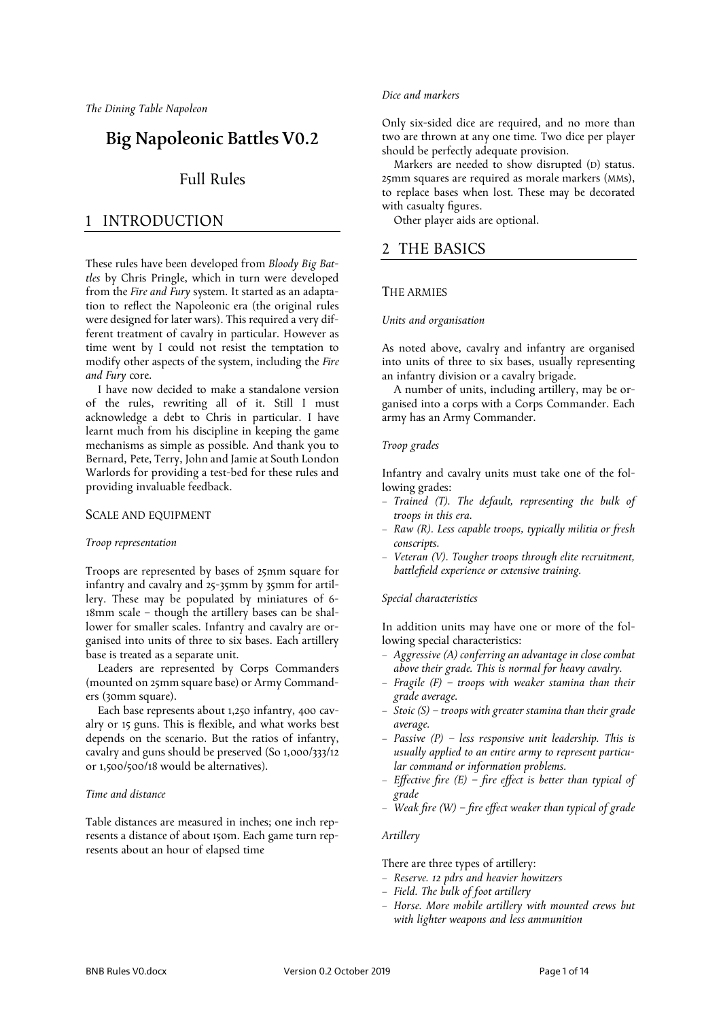*The Dining Table Napoleon*

# Big Napoleonic Battles V0.2

# Full Rules

# 1 INTRODUCTION

These rules have been developed from *Bloody Big Battles* by Chris Pringle, which in turn were developed from the *Fire and Fury* system. It started as an adaptation to reflect the Napoleonic era (the original rules were designed for later wars). This required a very different treatment of cavalry in particular. However as time went by I could not resist the temptation to modify other aspects of the system, including the *Fire and Fury* core.

I have now decided to make a standalone version of the rules, rewriting all of it. Still I must acknowledge a debt to Chris in particular. I have learnt much from his discipline in keeping the game mechanisms as simple as possible. And thank you to Bernard, Pete, Terry, John and Jamie at South London Warlords for providing a test-bed for these rules and providing invaluable feedback.

# SCALE AND EQUIPMENT

# *Troop representation*

Troops are represented by bases of 25mm square for infantry and cavalry and 25-35mm by 35mm for artillery. These may be populated by miniatures of 6- 18mm scale – though the artillery bases can be shallower for smaller scales. Infantry and cavalry are organised into units of three to six bases. Each artillery base is treated as a separate unit.

Leaders are represented by Corps Commanders (mounted on 25mm square base) or Army Commanders (30mm square).

Each base represents about 1,250 infantry, 400 cavalry or 15 guns. This is flexible, and what works best depends on the scenario. But the ratios of infantry, cavalry and guns should be preserved (So 1,000/333/12 or 1,500/500/18 would be alternatives).

# *Time and distance*

Table distances are measured in inches; one inch represents a distance of about 150m. Each game turn represents about an hour of elapsed time

# *Dice and markers*

Only six-sided dice are required, and no more than two are thrown at any one time. Two dice per player should be perfectly adequate provision.

Markers are needed to show disrupted (D) status. 25mm squares are required as morale markers (MMs), to replace bases when lost. These may be decorated with casualty figures.

Other player aids are optional.

# 2 THE BASICS

# THE ARMIES

# *Units and organisation*

As noted above, cavalry and infantry are organised into units of three to six bases, usually representing an infantry division or a cavalry brigade.

A number of units, including artillery, may be organised into a corps with a Corps Commander. Each army has an Army Commander.

# *Troop grades*

Infantry and cavalry units must take one of the following grades:

- *Trained (T). The default, representing the bulk of troops in this era.*
- *Raw (R). Less capable troops, typically militia or fresh conscripts.*
- *Veteran (V). Tougher troops through elite recruitment, battlefield experience or extensive training.*

# *Special characteristics*

In addition units may have one or more of the following special characteristics:

- *Aggressive (A) conferring an advantage in close combat above their grade. This is normal for heavy cavalry.*
- *Fragile (F) – troops with weaker stamina than their grade average.*
- *Stoic (S) – troops with greater stamina than their grade average.*
- *Passive (P) – less responsive unit leadership. This is usually applied to an entire army to represent particular command or information problems.*
- *Effective fire (E) – fire effect is better than typical of grade*
- *Weak fire (W) – fire effect weaker than typical of grade*

# *Artillery*

There are three types of artillery:

- *Reserve. 12 pdrs and heavier howitzers*
- *Field. The bulk of foot artillery*
- *Horse. More mobile artillery with mounted crews but with lighter weapons and less ammunition*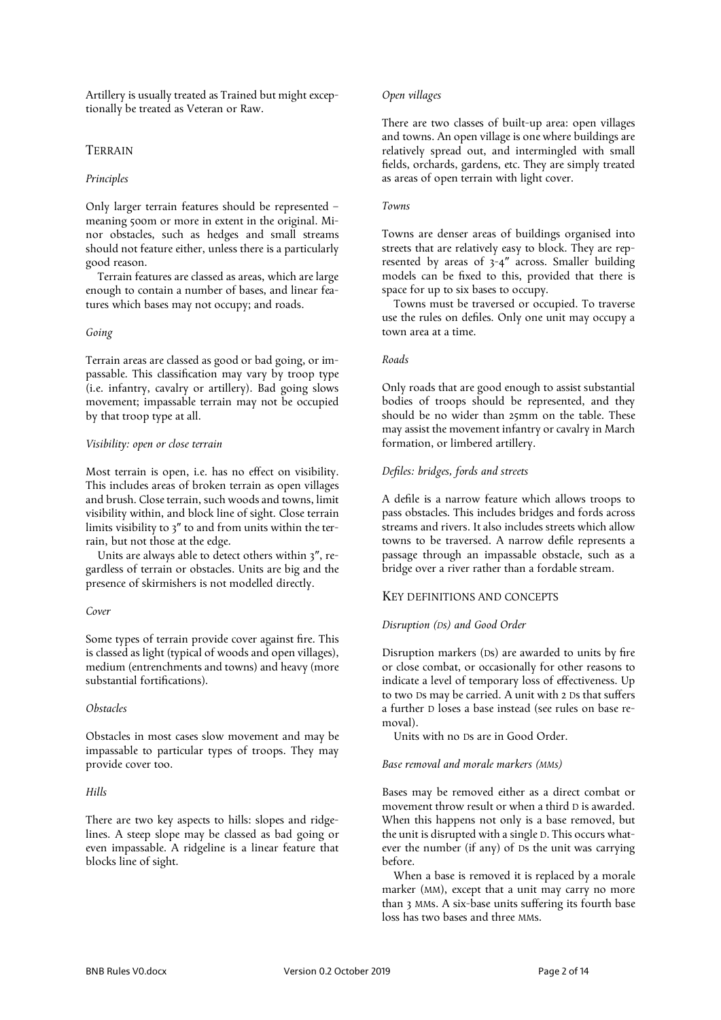Artillery is usually treated as Trained but might exceptionally be treated as Veteran or Raw.

# TERRAIN

# *Principles*

Only larger terrain features should be represented – meaning 500m or more in extent in the original. Minor obstacles, such as hedges and small streams should not feature either, unless there is a particularly good reason.

Terrain features are classed as areas, which are large enough to contain a number of bases, and linear features which bases may not occupy; and roads.

### *Going*

Terrain areas are classed as good or bad going, or impassable. This classification may vary by troop type (i.e. infantry, cavalry or artillery). Bad going slows movement; impassable terrain may not be occupied by that troop type at all.

# *Visibility: open or close terrain*

Most terrain is open, i.e. has no effect on visibility. This includes areas of broken terrain as open villages and brush. Close terrain, such woods and towns, limit visibility within, and block line of sight. Close terrain limits visibility to 3″ to and from units within the terrain, but not those at the edge.

Units are always able to detect others within 3″, regardless of terrain or obstacles. Units are big and the presence of skirmishers is not modelled directly.

#### *Cover*

Some types of terrain provide cover against fire. This is classed as light (typical of woods and open villages), medium (entrenchments and towns) and heavy (more substantial fortifications).

# *Obstacles*

Obstacles in most cases slow movement and may be impassable to particular types of troops. They may provide cover too.

# *Hills*

There are two key aspects to hills: slopes and ridgelines. A steep slope may be classed as bad going or even impassable. A ridgeline is a linear feature that blocks line of sight.

# *Open villages*

There are two classes of built-up area: open villages and towns. An open village is one where buildings are relatively spread out, and intermingled with small fields, orchards, gardens, etc. They are simply treated as areas of open terrain with light cover.

# *Towns*

Towns are denser areas of buildings organised into streets that are relatively easy to block. They are represented by areas of 3-4″ across. Smaller building models can be fixed to this, provided that there is space for up to six bases to occupy.

Towns must be traversed or occupied. To traverse use the rules on defiles. Only one unit may occupy a town area at a time.

### *Roads*

Only roads that are good enough to assist substantial bodies of troops should be represented, and they should be no wider than 25mm on the table. These may assist the movement infantry or cavalry in March formation, or limbered artillery.

# *Defiles: bridges, fords and streets*

A defile is a narrow feature which allows troops to pass obstacles. This includes bridges and fords across streams and rivers. It also includes streets which allow towns to be traversed. A narrow defile represents a passage through an impassable obstacle, such as a bridge over a river rather than a fordable stream.

# KEY DEFINITIONS AND CONCEPTS

#### *Disruption (Ds) and Good Order*

Disruption markers (Ds) are awarded to units by fire or close combat, or occasionally for other reasons to indicate a level of temporary loss of effectiveness. Up to two Ds may be carried. A unit with 2 Ds that suffers a further D loses a base instead (see rules on base removal).

Units with no Ds are in Good Order.

#### *Base removal and morale markers (MMs)*

Bases may be removed either as a direct combat or movement throw result or when a third D is awarded. When this happens not only is a base removed, but the unit is disrupted with a single D. This occurs whatever the number (if any) of Ds the unit was carrying before.

When a base is removed it is replaced by a morale marker (MM), except that a unit may carry no more than 3 MMs. A six-base units suffering its fourth base loss has two bases and three MMs.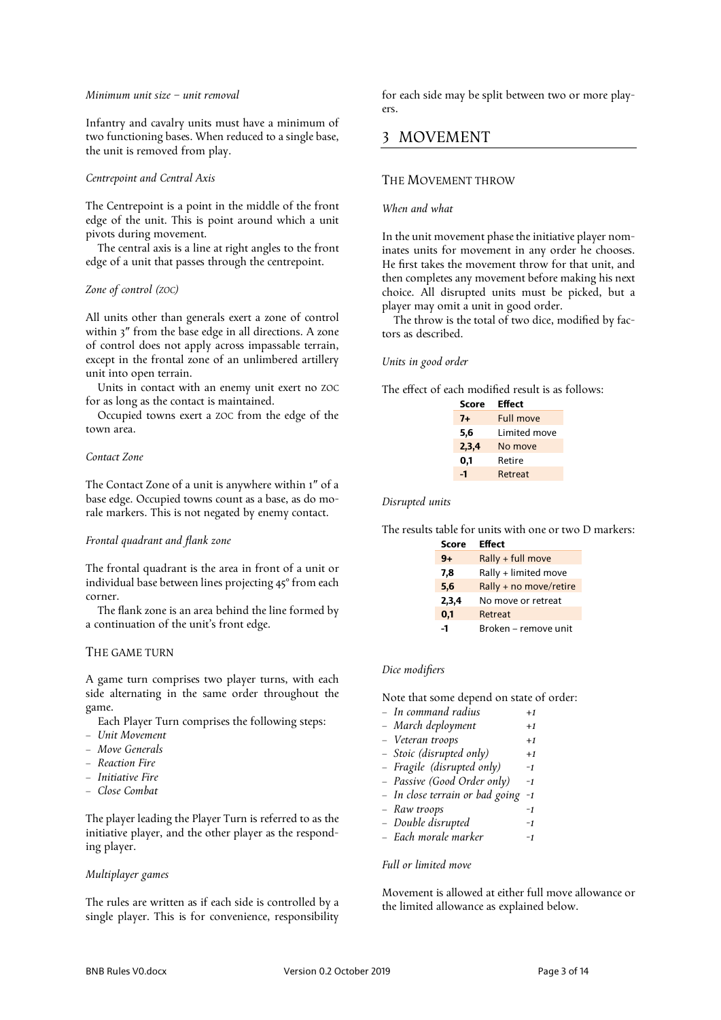### *Minimum unit size – unit removal*

Infantry and cavalry units must have a minimum of two functioning bases. When reduced to a single base, the unit is removed from play.

# *Centrepoint and Central Axis*

The Centrepoint is a point in the middle of the front edge of the unit. This is point around which a unit pivots during movement.

The central axis is a line at right angles to the front edge of a unit that passes through the centrepoint.

# *Zone of control (ZOC)*

All units other than generals exert a zone of control within 3″ from the base edge in all directions. A zone of control does not apply across impassable terrain, except in the frontal zone of an unlimbered artillery unit into open terrain.

Units in contact with an enemy unit exert no ZOC for as long as the contact is maintained.

Occupied towns exert a ZOC from the edge of the town area.

# *Contact Zone*

The Contact Zone of a unit is anywhere within 1″ of a base edge. Occupied towns count as a base, as do morale markers. This is not negated by enemy contact.

# *Frontal quadrant and flank zone*

The frontal quadrant is the area in front of a unit or individual base between lines projecting 45° from each corner.

The flank zone is an area behind the line formed by a continuation of the unit's front edge.

# THE GAME TURN

A game turn comprises two player turns, with each side alternating in the same order throughout the game.

- Each Player Turn comprises the following steps:
- *Unit Movement*
- *Move Generals*
- *Reaction Fire*
- *Initiative Fire*
- *Close Combat*

The player leading the Player Turn is referred to as the initiative player, and the other player as the responding player.

# *Multiplayer games*

The rules are written as if each side is controlled by a single player. This is for convenience, responsibility

for each side may be split between two or more players.

# 3 MOVEMENT

# THE MOVEMENT THROW

# *When and what*

In the unit movement phase the initiative player nominates units for movement in any order he chooses. He first takes the movement throw for that unit, and then completes any movement before making his next choice. All disrupted units must be picked, but a player may omit a unit in good order.

The throw is the total of two dice, modified by factors as described.

# *Units in good order*

The effect of each modified result is as follows:

| Score | Effect       |
|-------|--------------|
| 7+    | Full move    |
| 5,6   | Limited move |
| 2,3,4 | No move      |
| 0,1   | Retire       |
| -1    | Retreat      |
|       |              |

*Disrupted units*

The results table for units with one or two D markers:

| <b>Score</b> | <b>Effect</b>          |
|--------------|------------------------|
| $9+$         | Rally + full move      |
| 7,8          | Rally + limited move   |
| 5,6          | Rally + no move/retire |
| 2,3,4        | No move or retreat     |
| 0,1          | Retreat                |
| -1           | Broken – remove unit   |

# *Dice modifiers*

Note that some depend on state of order:

| – In command radius | $+1$ |
|---------------------|------|
| - March deployment  | $+1$ |
| – Veteran troops    | $+1$ |
|                     |      |

- *Stoic (disrupted only) +1*
- *Fragile (disrupted only) -1*
- *Passive (Good Order only) -1*
- *In close terrain or bad going -1*
- *Raw troops -1*
- *Double disrupted -1*
- *Each morale marker -1*

# *Full or limited move*

Movement is allowed at either full move allowance or the limited allowance as explained below.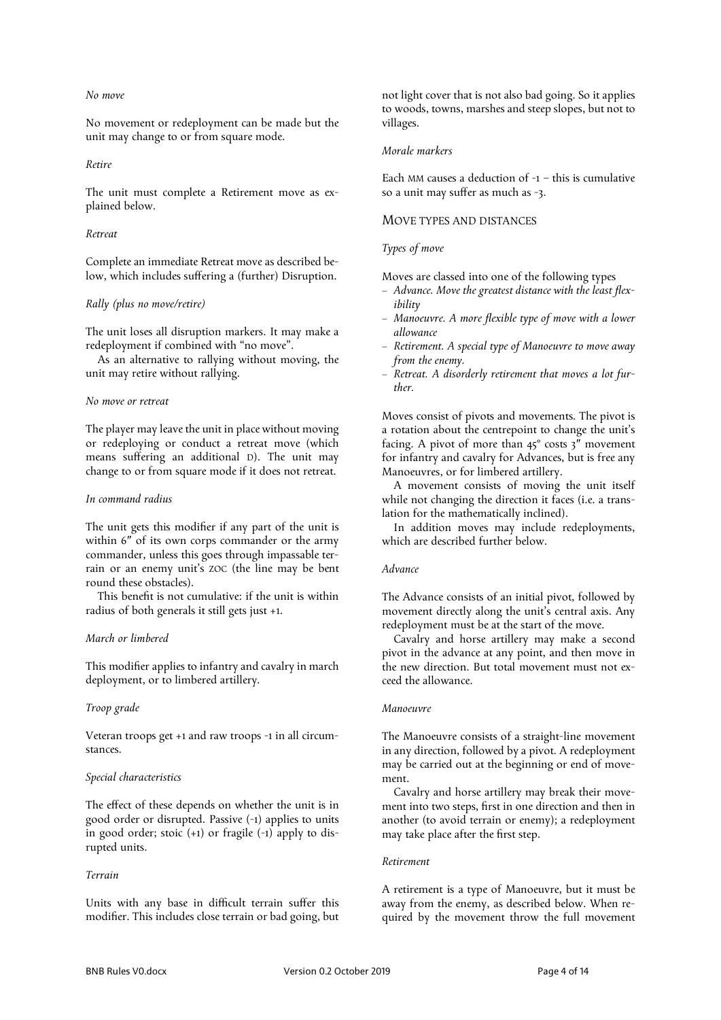# *No move*

No movement or redeployment can be made but the unit may change to or from square mode.

# *Retire*

The unit must complete a Retirement move as explained below.

#### *Retreat*

Complete an immediate Retreat move as described below, which includes suffering a (further) Disruption.

### *Rally (plus no move/retire)*

The unit loses all disruption markers. It may make a redeployment if combined with "no move".

As an alternative to rallying without moving, the unit may retire without rallying.

#### *No move or retreat*

The player may leave the unit in place without moving or redeploying or conduct a retreat move (which means suffering an additional D). The unit may change to or from square mode if it does not retreat.

### *In command radius*

The unit gets this modifier if any part of the unit is within 6″ of its own corps commander or the army commander, unless this goes through impassable terrain or an enemy unit's ZOC (the line may be bent round these obstacles).

This benefit is not cumulative: if the unit is within radius of both generals it still gets just +1.

# *March or limbered*

This modifier applies to infantry and cavalry in march deployment, or to limbered artillery.

#### *Troop grade*

Veteran troops get +1 and raw troops -1 in all circumstances.

# *Special characteristics*

The effect of these depends on whether the unit is in good order or disrupted. Passive (-1) applies to units in good order; stoic (+1) or fragile (-1) apply to disrupted units.

# *Terrain*

Units with any base in difficult terrain suffer this modifier. This includes close terrain or bad going, but

not light cover that is not also bad going. So it applies to woods, towns, marshes and steep slopes, but not to villages.

# *Morale markers*

Each MM causes a deduction of  $-1$  – this is cumulative so a unit may suffer as much as -3.

#### MOVE TYPES AND DISTANCES

### *Types of move*

Moves are classed into one of the following types

- *Advance. Move the greatest distance with the least flexibility*
- *Manoeuvre. A more flexible type of move with a lower allowance*
- *Retirement. A special type of Manoeuvre to move away from the enemy.*
- *Retreat. A disorderly retirement that moves a lot further.*

Moves consist of pivots and movements. The pivot is a rotation about the centrepoint to change the unit's facing. A pivot of more than 45° costs 3″ movement for infantry and cavalry for Advances, but is free any Manoeuvres, or for limbered artillery.

A movement consists of moving the unit itself while not changing the direction it faces (i.e. a translation for the mathematically inclined).

In addition moves may include redeployments, which are described further below.

# *Advance*

The Advance consists of an initial pivot, followed by movement directly along the unit's central axis. Any redeployment must be at the start of the move.

Cavalry and horse artillery may make a second pivot in the advance at any point, and then move in the new direction. But total movement must not exceed the allowance.

# *Manoeuvre*

The Manoeuvre consists of a straight-line movement in any direction, followed by a pivot. A redeployment may be carried out at the beginning or end of movement.

Cavalry and horse artillery may break their movement into two steps, first in one direction and then in another (to avoid terrain or enemy); a redeployment may take place after the first step.

#### *Retirement*

A retirement is a type of Manoeuvre, but it must be away from the enemy, as described below. When required by the movement throw the full movement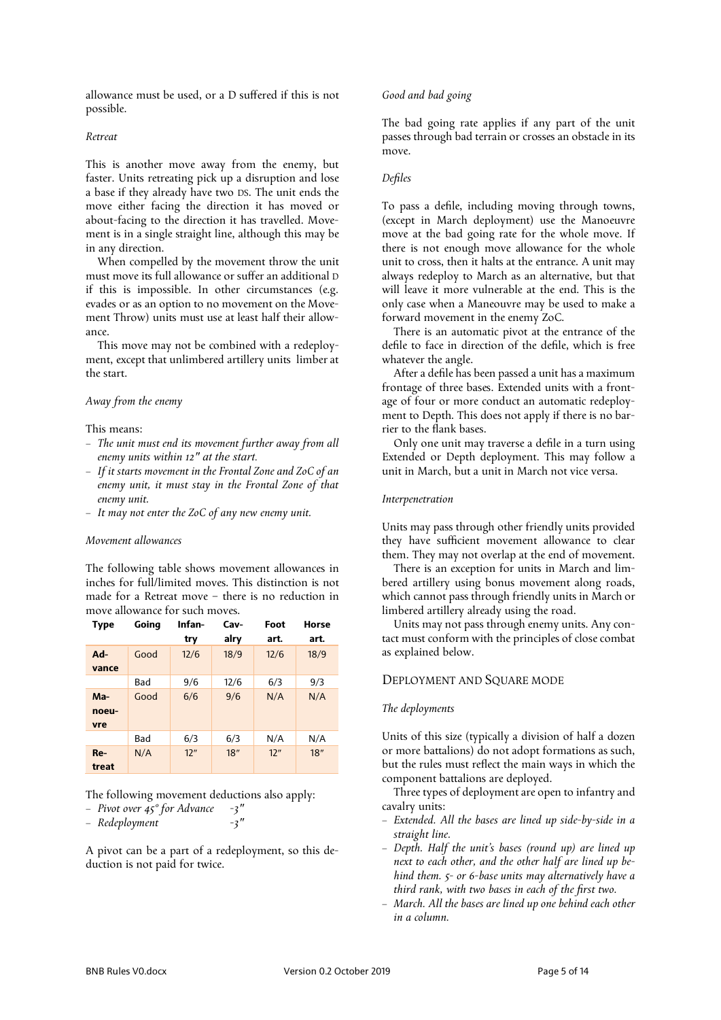allowance must be used, or a D suffered if this is not possible.

### *Retreat*

This is another move away from the enemy, but faster. Units retreating pick up a disruption and lose a base if they already have two DS. The unit ends the move either facing the direction it has moved or about-facing to the direction it has travelled. Movement is in a single straight line, although this may be in any direction.

When compelled by the movement throw the unit must move its full allowance or suffer an additional D if this is impossible. In other circumstances (e.g. evades or as an option to no movement on the Movement Throw) units must use at least half their allowance.

This move may not be combined with a redeployment, except that unlimbered artillery units limber at the start.

# *Away from the enemy*

This means:

- *The unit must end its movement further away from all enemy units within 12″ at the start.*
- *If it starts movement in the Frontal Zone and ZoC of an enemy unit, it must stay in the Frontal Zone of that enemy unit.*
- *It may not enter the ZoC of any new enemy unit.*

### *Movement allowances*

The following table shows movement allowances in inches for full/limited moves. This distinction is not made for a Retreat move – there is no reduction in move allowance for such moves.

| Type                  | Going | Infan-<br>try | Cav-<br>alry | Foot<br>art. | Horse<br>art. |
|-----------------------|-------|---------------|--------------|--------------|---------------|
| $Ad-$<br>vance        | Good  | 12/6          | 18/9         | 12/6         | 18/9          |
|                       | Bad   | 9/6           | 12/6         | 6/3          | 9/3           |
| $Ma-$<br>noeu-<br>vre | Good  | 6/6           | 9/6          | N/A          | N/A           |
|                       | Bad   | 6/3           | 6/3          | N/A          | N/A           |
| $Re-$<br>treat        | N/A   | 12"           | 18"          | 12"          | 18"           |

The following movement deductions also apply:

- *Pivot over 45° for Advance -3″*
- *Redeployment -3″*

A pivot can be a part of a redeployment, so this deduction is not paid for twice.

#### *Good and bad going*

The bad going rate applies if any part of the unit passes through bad terrain or crosses an obstacle in its move.

### *Defiles*

To pass a defile, including moving through towns, (except in March deployment) use the Manoeuvre move at the bad going rate for the whole move. If there is not enough move allowance for the whole unit to cross, then it halts at the entrance. A unit may always redeploy to March as an alternative, but that will leave it more vulnerable at the end. This is the only case when a Maneouvre may be used to make a forward movement in the enemy ZoC.

There is an automatic pivot at the entrance of the defile to face in direction of the defile, which is free whatever the angle.

After a defile has been passed a unit has a maximum frontage of three bases. Extended units with a frontage of four or more conduct an automatic redeployment to Depth. This does not apply if there is no barrier to the flank bases.

Only one unit may traverse a defile in a turn using Extended or Depth deployment. This may follow a unit in March, but a unit in March not vice versa.

#### *Interpenetration*

Units may pass through other friendly units provided they have sufficient movement allowance to clear them. They may not overlap at the end of movement.

There is an exception for units in March and limbered artillery using bonus movement along roads, which cannot pass through friendly units in March or limbered artillery already using the road.

Units may not pass through enemy units. Any contact must conform with the principles of close combat as explained below.

#### DEPLOYMENT AND SQUARE MODE

### *The deployments*

Units of this size (typically a division of half a dozen or more battalions) do not adopt formations as such, but the rules must reflect the main ways in which the component battalions are deployed.

Three types of deployment are open to infantry and cavalry units:

- *Extended. All the bases are lined up side-by-side in a straight line.*
- *Depth. Half the unit's bases (round up) are lined up next to each other, and the other half are lined up behind them. 5- or 6-base units may alternatively have a third rank, with two bases in each of the first two.*
- *March. All the bases are lined up one behind each other in a column.*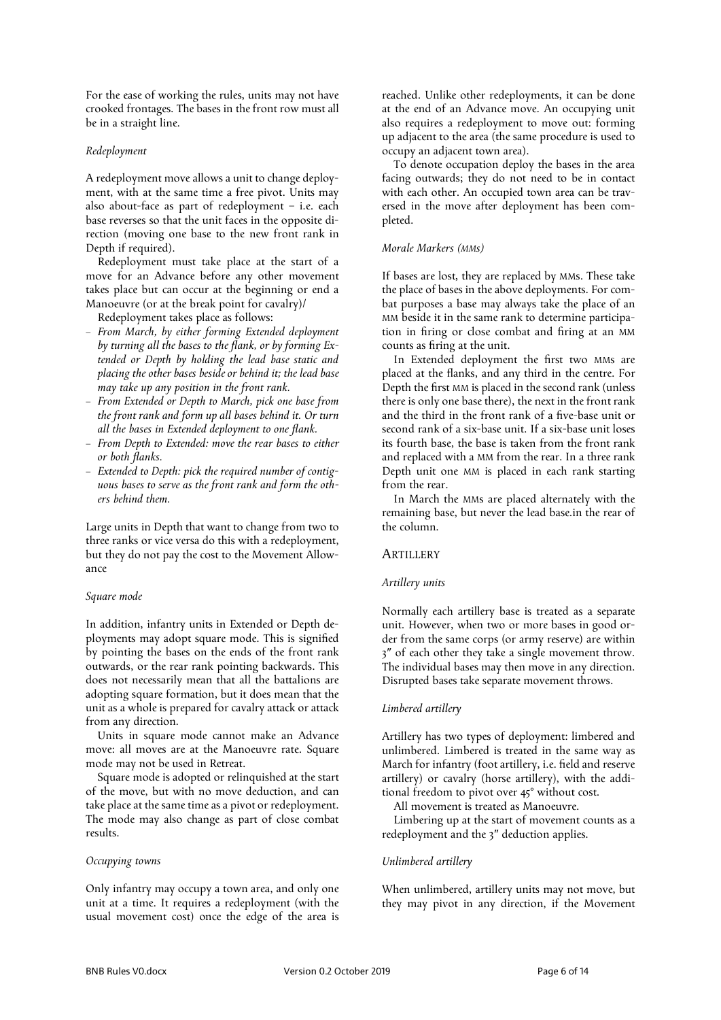For the ease of working the rules, units may not have crooked frontages. The bases in the front row must all be in a straight line.

# *Redeployment*

A redeployment move allows a unit to change deployment, with at the same time a free pivot. Units may also about-face as part of redeployment – i.e. each base reverses so that the unit faces in the opposite direction (moving one base to the new front rank in Depth if required).

Redeployment must take place at the start of a move for an Advance before any other movement takes place but can occur at the beginning or end a Manoeuvre (or at the break point for cavalry)/

Redeployment takes place as follows:

- *From March, by either forming Extended deployment by turning all the bases to the flank, or by forming Extended or Depth by holding the lead base static and placing the other bases beside or behind it; the lead base may take up any position in the front rank.*
- *From Extended or Depth to March, pick one base from the front rank and form up all bases behind it. Or turn all the bases in Extended deployment to one flank.*
- *From Depth to Extended: move the rear bases to either or both flanks.*
- *Extended to Depth: pick the required number of contiguous bases to serve as the front rank and form the others behind them.*

Large units in Depth that want to change from two to three ranks or vice versa do this with a redeployment, but they do not pay the cost to the Movement Allowance

# *Square mode*

In addition, infantry units in Extended or Depth deployments may adopt square mode. This is signified by pointing the bases on the ends of the front rank outwards, or the rear rank pointing backwards. This does not necessarily mean that all the battalions are adopting square formation, but it does mean that the unit as a whole is prepared for cavalry attack or attack from any direction.

Units in square mode cannot make an Advance move: all moves are at the Manoeuvre rate. Square mode may not be used in Retreat.

Square mode is adopted or relinquished at the start of the move, but with no move deduction, and can take place at the same time as a pivot or redeployment. The mode may also change as part of close combat results.

#### *Occupying towns*

Only infantry may occupy a town area, and only one unit at a time. It requires a redeployment (with the usual movement cost) once the edge of the area is

reached. Unlike other redeployments, it can be done at the end of an Advance move. An occupying unit also requires a redeployment to move out: forming up adjacent to the area (the same procedure is used to occupy an adjacent town area).

To denote occupation deploy the bases in the area facing outwards; they do not need to be in contact with each other. An occupied town area can be traversed in the move after deployment has been completed.

### *Morale Markers (MMs)*

If bases are lost, they are replaced by MMs. These take the place of bases in the above deployments. For combat purposes a base may always take the place of an MM beside it in the same rank to determine participation in firing or close combat and firing at an MM counts as firing at the unit.

In Extended deployment the first two MMs are placed at the flanks, and any third in the centre. For Depth the first MM is placed in the second rank (unless there is only one base there), the next in the front rank and the third in the front rank of a five-base unit or second rank of a six-base unit. If a six-base unit loses its fourth base, the base is taken from the front rank and replaced with a MM from the rear. In a three rank Depth unit one MM is placed in each rank starting from the rear.

In March the MMs are placed alternately with the remaining base, but never the lead base.in the rear of the column.

# **ARTILLERY**

#### *Artillery units*

Normally each artillery base is treated as a separate unit. However, when two or more bases in good order from the same corps (or army reserve) are within 3″ of each other they take a single movement throw. The individual bases may then move in any direction. Disrupted bases take separate movement throws.

### *Limbered artillery*

Artillery has two types of deployment: limbered and unlimbered. Limbered is treated in the same way as March for infantry (foot artillery, i.e. field and reserve artillery) or cavalry (horse artillery), with the additional freedom to pivot over 45° without cost.

All movement is treated as Manoeuvre.

Limbering up at the start of movement counts as a redeployment and the 3″ deduction applies.

#### *Unlimbered artillery*

When unlimbered, artillery units may not move, but they may pivot in any direction, if the Movement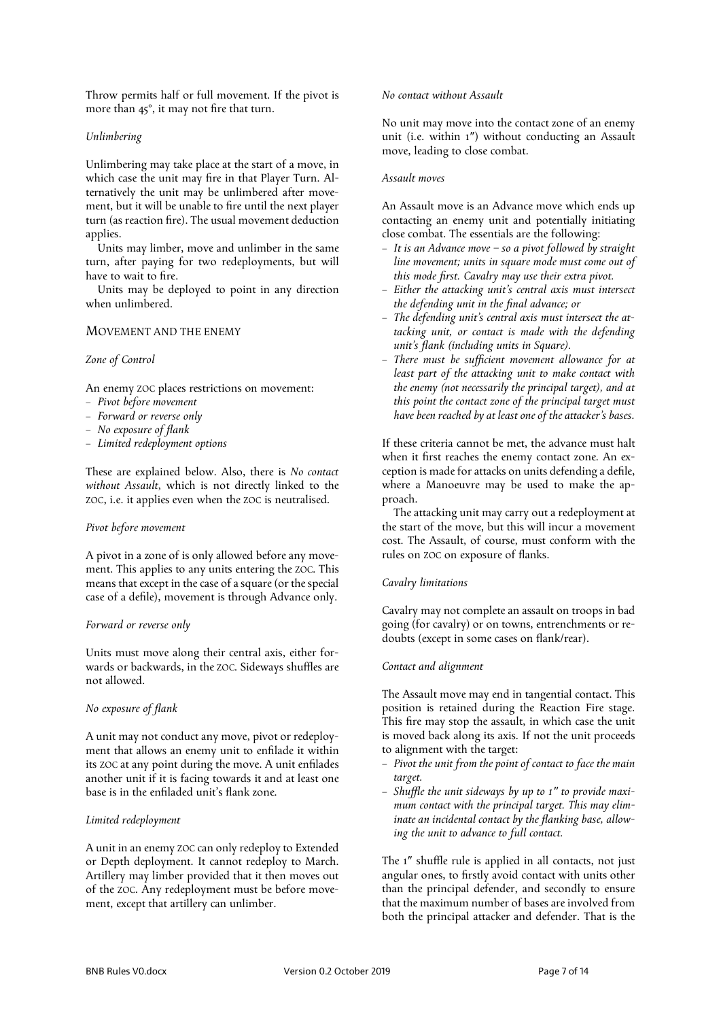Throw permits half or full movement. If the pivot is more than 45°, it may not fire that turn.

# *Unlimbering*

Unlimbering may take place at the start of a move, in which case the unit may fire in that Player Turn. Alternatively the unit may be unlimbered after movement, but it will be unable to fire until the next player turn (as reaction fire). The usual movement deduction applies.

Units may limber, move and unlimber in the same turn, after paying for two redeployments, but will have to wait to fire.

Units may be deployed to point in any direction when unlimbered.

# MOVEMENT AND THE ENEMY

# *Zone of Control*

An enemy ZOC places restrictions on movement:

- *Pivot before movement*
- *Forward or reverse only*
- *No exposure of flank*
- *Limited redeployment options*

These are explained below. Also, there is *No contact without Assault*, which is not directly linked to the ZOC, i.e. it applies even when the ZOC is neutralised.

# *Pivot before movement*

A pivot in a zone of is only allowed before any movement. This applies to any units entering the ZOC. This means that except in the case of a square (or the special case of a defile), movement is through Advance only.

#### *Forward or reverse only*

Units must move along their central axis, either forwards or backwards, in the ZOC. Sideways shuffles are not allowed.

### *No exposure of flank*

A unit may not conduct any move, pivot or redeployment that allows an enemy unit to enfilade it within its ZOC at any point during the move. A unit enfilades another unit if it is facing towards it and at least one base is in the enfiladed unit's flank zone.

# *Limited redeployment*

A unit in an enemy ZOC can only redeploy to Extended or Depth deployment. It cannot redeploy to March. Artillery may limber provided that it then moves out of the ZOC. Any redeployment must be before movement, except that artillery can unlimber.

# *No contact without Assault*

No unit may move into the contact zone of an enemy unit (i.e. within 1″) without conducting an Assault move, leading to close combat.

### *Assault moves*

An Assault move is an Advance move which ends up contacting an enemy unit and potentially initiating close combat. The essentials are the following:

- *It is an Advance move – so a pivot followed by straight line movement; units in square mode must come out of this mode first. Cavalry may use their extra pivot.*
- *Either the attacking unit's central axis must intersect the defending unit in the final advance; or*
- *The defending unit's central axis must intersect the attacking unit, or contact is made with the defending unit's flank (including units in Square).*
- *There must be sufficient movement allowance for at least part of the attacking unit to make contact with the enemy (not necessarily the principal target), and at this point the contact zone of the principal target must have been reached by at least one of the attacker's bases.*

If these criteria cannot be met, the advance must halt when it first reaches the enemy contact zone. An exception is made for attacks on units defending a defile, where a Manoeuvre may be used to make the approach.

The attacking unit may carry out a redeployment at the start of the move, but this will incur a movement cost. The Assault, of course, must conform with the rules on ZOC on exposure of flanks.

#### *Cavalry limitations*

Cavalry may not complete an assault on troops in bad going (for cavalry) or on towns, entrenchments or redoubts (except in some cases on flank/rear).

#### *Contact and alignment*

The Assault move may end in tangential contact. This position is retained during the Reaction Fire stage. This fire may stop the assault, in which case the unit is moved back along its axis. If not the unit proceeds to alignment with the target:

- *Pivot the unit from the point of contact to face the main target.*
- *Shuffle the unit sideways by up to 1″ to provide maximum contact with the principal target. This may eliminate an incidental contact by the flanking base, allowing the unit to advance to full contact.*

The 1″ shuffle rule is applied in all contacts, not just angular ones, to firstly avoid contact with units other than the principal defender, and secondly to ensure that the maximum number of bases are involved from both the principal attacker and defender. That is the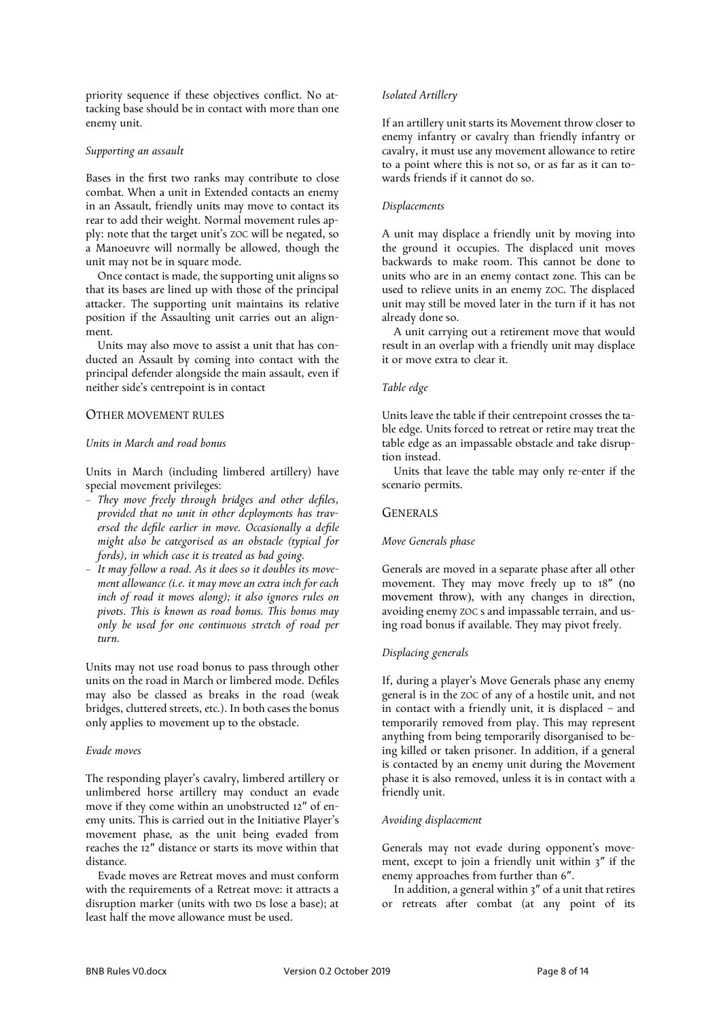priority sequence if these objectives conflict. No attacking base should be in contact with more than one enemy unit.

# *Supporting an assault*

Bases in the first two ranks may contribute to close combat. When a unit in Extended contacts an enemy in an Assault, friendly units may move to contact its rear to add their weight. Normal movement rules apply: note that the target unit's ZOC will be negated, so a Manoeuvre will normally be allowed, though the unit may not be in square mode.

Once contact is made, the supporting unit aligns so that its bases are lined up with those of the principal attacker. The supporting unit maintains its relative position if the Assaulting unit carries out an alignment.

Units may also move to assist a unit that has conducted an Assault by coming into contact with the principal defender alongside the main assault, even if neither side's centrepoint is in contact

# OTHER MOVEMENT RULES

#### *Units in March and road bonus*

Units in March (including limbered artillery) have special movement privileges:

- *They move freely through bridges and other defiles, provided that no unit in other deployments has traversed the defile earlier in move. Occasionally a defile might also be categorised as an obstacle (typical for fords), in which case it is treated as bad going.*
- *It may follow a road. As it does so it doubles its movement allowance (i.e. it may move an extra inch for each inch of road it moves along); it also ignores rules on pivots. This is known as road bonus. This bonus may only be used for one continuous stretch of road per turn.*

Units may not use road bonus to pass through other units on the road in March or limbered mode. Defiles may also be classed as breaks in the road (weak bridges, cluttered streets, etc.). In both cases the bonus only applies to movement up to the obstacle.

#### *Evade moves*

The responding player's cavalry, limbered artillery or unlimbered horse artillery may conduct an evade move if they come within an unobstructed 12″ of enemy units. This is carried out in the Initiative Player's movement phase, as the unit being evaded from reaches the 12″ distance or starts its move within that distance.

Evade moves are Retreat moves and must conform with the requirements of a Retreat move: it attracts a disruption marker (units with two Ds lose a base); at least half the move allowance must be used.

# *Isolated Artillery*

If an artillery unit starts its Movement throw closer to enemy infantry or cavalry than friendly infantry or cavalry, it must use any movement allowance to retire to a point where this is not so, or as far as it can towards friends if it cannot do so.

### *Displacements*

A unit may displace a friendly unit by moving into the ground it occupies. The displaced unit moves backwards to make room. This cannot be done to units who are in an enemy contact zone. This can be used to relieve units in an enemy ZOC. The displaced unit may still be moved later in the turn if it has not already done so.

A unit carrying out a retirement move that would result in an overlap with a friendly unit may displace it or move extra to clear it.

# *Table edge*

Units leave the table if their centrepoint crosses the table edge. Units forced to retreat or retire may treat the table edge as an impassable obstacle and take disruption instead.

Units that leave the table may only re-enter if the scenario permits.

# **GENERALS**

#### *Move Generals phase*

Generals are moved in a separate phase after all other movement. They may move freely up to 18″ (no movement throw), with any changes in direction, avoiding enemy ZOC s and impassable terrain, and using road bonus if available. They may pivot freely.

# *Displacing generals*

If, during a player's Move Generals phase any enemy general is in the ZOC of any of a hostile unit, and not in contact with a friendly unit, it is displaced – and temporarily removed from play. This may represent anything from being temporarily disorganised to being killed or taken prisoner. In addition, if a general is contacted by an enemy unit during the Movement phase it is also removed, unless it is in contact with a friendly unit.

### *Avoiding displacement*

Generals may not evade during opponent's movement, except to join a friendly unit within 3″ if the enemy approaches from further than 6″.

In addition, a general within 3″ of a unit that retires or retreats after combat (at any point of its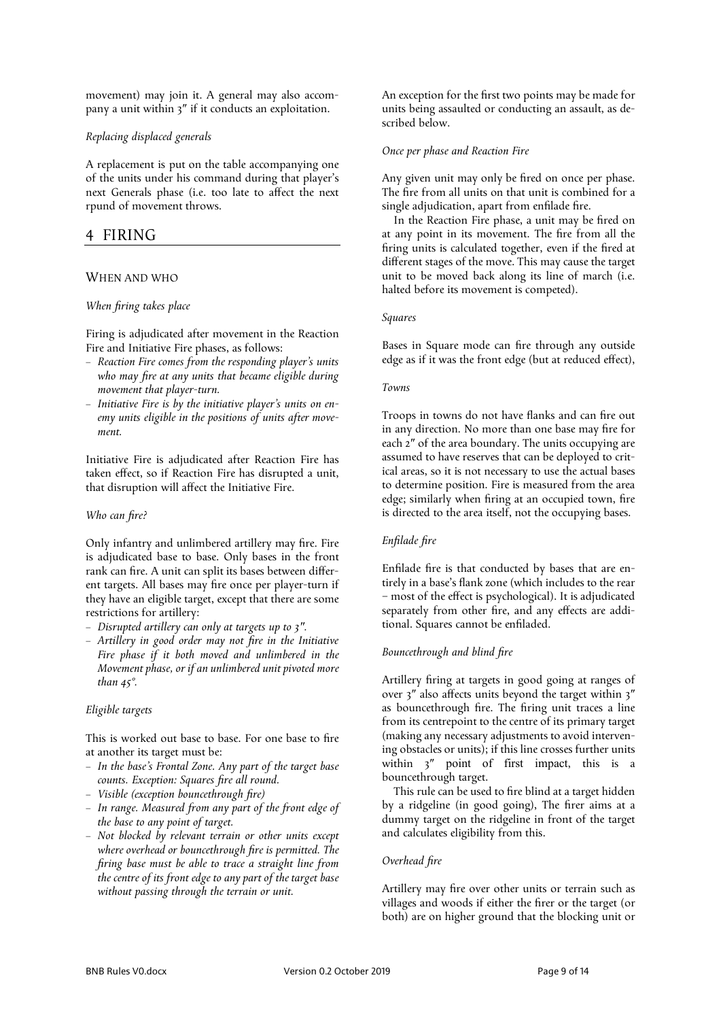movement) may join it. A general may also accompany a unit within 3″ if it conducts an exploitation.

# *Replacing displaced generals*

A replacement is put on the table accompanying one of the units under his command during that player's next Generals phase (i.e. too late to affect the next rpund of movement throws.

# 4 FIRING

# WHEN AND WHO

# *When firing takes place*

Firing is adjudicated after movement in the Reaction Fire and Initiative Fire phases, as follows:

- *Reaction Fire comes from the responding player's units who may fire at any units that became eligible during movement that player-turn.*
- *Initiative Fire is by the initiative player's units on enemy units eligible in the positions of units after movement.*

Initiative Fire is adjudicated after Reaction Fire has taken effect, so if Reaction Fire has disrupted a unit, that disruption will affect the Initiative Fire.

# *Who can fire?*

Only infantry and unlimbered artillery may fire. Fire is adjudicated base to base. Only bases in the front rank can fire. A unit can split its bases between different targets. All bases may fire once per player-turn if they have an eligible target, except that there are some restrictions for artillery:

- *Disrupted artillery can only at targets up to 3″.*
- *Artillery in good order may not fire in the Initiative Fire phase if it both moved and unlimbered in the Movement phase, or if an unlimbered unit pivoted more than 45°.*

# *Eligible targets*

This is worked out base to base. For one base to fire at another its target must be:

- *In the base's Frontal Zone. Any part of the target base counts. Exception: Squares fire all round.*
- *Visible (exception bouncethrough fire)*
- *In range. Measured from any part of the front edge of the base to any point of target.*
- *Not blocked by relevant terrain or other units except where overhead or bouncethrough fire is permitted. The firing base must be able to trace a straight line from the centre of its front edge to any part of the target base without passing through the terrain or unit.*

An exception for the first two points may be made for units being assaulted or conducting an assault, as described below.

# *Once per phase and Reaction Fire*

Any given unit may only be fired on once per phase. The fire from all units on that unit is combined for a single adjudication, apart from enfilade fire.

In the Reaction Fire phase, a unit may be fired on at any point in its movement. The fire from all the firing units is calculated together, even if the fired at different stages of the move. This may cause the target unit to be moved back along its line of march (i.e. halted before its movement is competed).

### *Squares*

Bases in Square mode can fire through any outside edge as if it was the front edge (but at reduced effect),

### *Towns*

Troops in towns do not have flanks and can fire out in any direction. No more than one base may fire for each 2″ of the area boundary. The units occupying are assumed to have reserves that can be deployed to critical areas, so it is not necessary to use the actual bases to determine position. Fire is measured from the area edge; similarly when firing at an occupied town, fire is directed to the area itself, not the occupying bases.

# *Enfilade fire*

Enfilade fire is that conducted by bases that are entirely in a base's flank zone (which includes to the rear – most of the effect is psychological). It is adjudicated separately from other fire, and any effects are additional. Squares cannot be enfiladed.

# *Bouncethrough and blind fire*

Artillery firing at targets in good going at ranges of over 3″ also affects units beyond the target within 3″ as bouncethrough fire. The firing unit traces a line from its centrepoint to the centre of its primary target (making any necessary adjustments to avoid intervening obstacles or units); if this line crosses further units within 3" point of first impact, this is a bouncethrough target.

This rule can be used to fire blind at a target hidden by a ridgeline (in good going), The firer aims at a dummy target on the ridgeline in front of the target and calculates eligibility from this.

# *Overhead fire*

Artillery may fire over other units or terrain such as villages and woods if either the firer or the target (or both) are on higher ground that the blocking unit or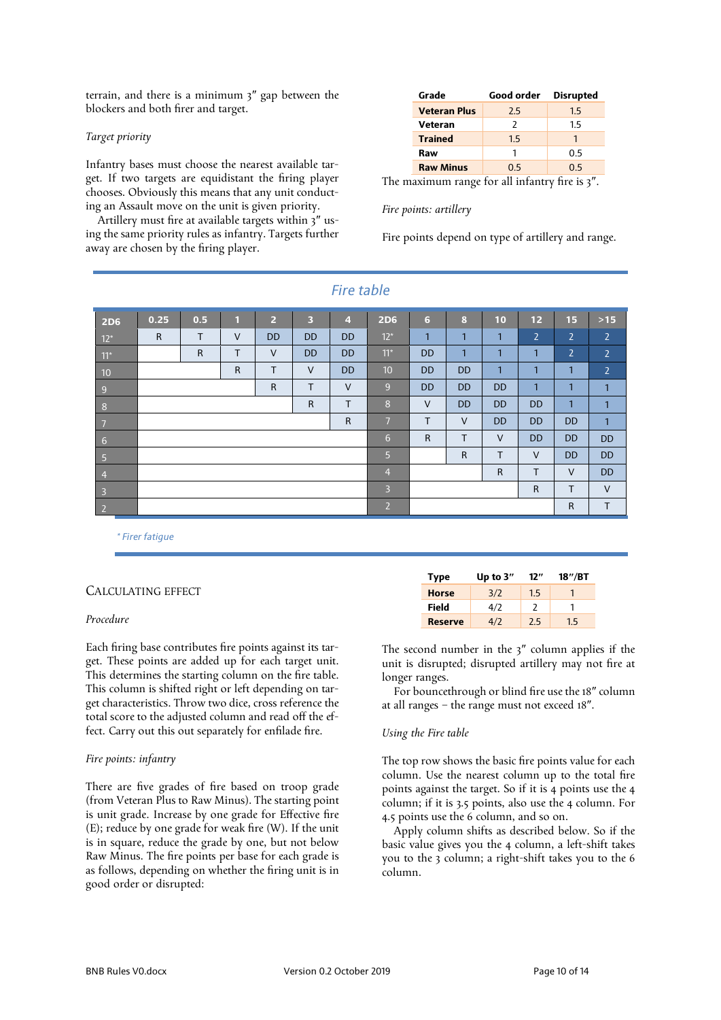terrain, and there is a minimum 3″ gap between the blockers and both firer and target.

### *Target priority*

Infantry bases must choose the nearest available target. If two targets are equidistant the firing player chooses. Obviously this means that any unit conducting an Assault move on the unit is given priority.

Artillery must fire at available targets within 3″ using the same priority rules as infantry. Targets further away are chosen by the firing player.

| Grade               | Good order | <b>Disrupted</b> |
|---------------------|------------|------------------|
| <b>Veteran Plus</b> | 2.5        | 1.5              |
| Veteran             | 2          | 1.5              |
| <b>Trained</b>      | 1.5        |                  |
| Raw                 | 1          | 0.5              |
| <b>Raw Minus</b>    | 0.5        | 0.5              |

The maximum range for all infantry fire is 3″.

### *Fire points: artillery*

Fire points depend on type of artillery and range.

|                         |              |              |              |                |                         | $111$ c cupic  |                 |              |              |              |                |                |                |
|-------------------------|--------------|--------------|--------------|----------------|-------------------------|----------------|-----------------|--------------|--------------|--------------|----------------|----------------|----------------|
| <b>2D6</b>              | 0.25         | 0.5          | $\mathbf{1}$ | $\overline{2}$ | $\overline{\mathbf{3}}$ | $\overline{4}$ | <b>2D6</b>      | 6            | 8            | 10           | 12             | 15             | $>15$          |
| $12*$                   | $\mathsf{R}$ | T            | $\vee$       | <b>DD</b>      | <b>DD</b>               | <b>DD</b>      | $12*$           | $\mathbf{1}$ | $\mathbf{1}$ | $\mathbf{1}$ | $\overline{2}$ | $\overline{2}$ | $\overline{2}$ |
| $11*$                   |              | $\mathsf{R}$ | T.           | $\vee$         | <b>DD</b>               | <b>DD</b>      | $11*$           | <b>DD</b>    | 1            | $\mathbf{1}$ | $\mathbf{1}$   | $\overline{2}$ | $\overline{2}$ |
| 10                      |              |              | $\mathsf R$  | T              | $\vee$                  | <b>DD</b>      | 10 <sup>°</sup> | <b>DD</b>    | <b>DD</b>    | $\mathbf{1}$ | $\mathbf{1}$   | 1              | $\overline{2}$ |
| 9                       | R            |              |              |                | T                       | $\vee$         | 9 <sup>°</sup>  | <b>DD</b>    | <b>DD</b>    | <b>DD</b>    | $\mathbf{1}$   | 1              | $\mathbf{1}$   |
| 8                       | $\mathsf{R}$ |              |              |                |                         |                | 8               | $\vee$       | <b>DD</b>    | <b>DD</b>    | <b>DD</b>      | $\mathbf{1}$   | $\mathbf{1}$   |
| $\overline{7}$          | $\mathsf{R}$ |              |              |                |                         |                | 7               | T            | $\vee$       | <b>DD</b>    | <b>DD</b>      | <b>DD</b>      | $\mathbf{1}$   |
| 6                       |              |              |              |                |                         |                | 6               | $\mathsf{R}$ | $\mathsf{T}$ | $\vee$       | <b>DD</b>      | <b>DD</b>      | <b>DD</b>      |
| $\sqrt{5}$              |              |              |              |                |                         |                | 5 <sup>5</sup>  |              | $\mathsf{R}$ | T            | $\vee$         | <b>DD</b>      | <b>DD</b>      |
| $\overline{4}$          |              |              |              |                |                         |                | $\overline{4}$  |              |              | $\mathsf{R}$ | T              | $\vee$         | <b>DD</b>      |
| $\overline{\mathbf{3}}$ |              |              |              |                |                         |                | 3               |              |              |              | $\mathsf{R}$   | T              | $\vee$         |
| $\overline{2}$          |              |              |              |                |                         |                | 2               |              |              |              |                | R              | $\mathsf{T}$   |
|                         |              |              |              |                |                         |                |                 |              |              |              |                |                |                |

*Fire table*

*\* Firer fatigue*

# CALCULATING EFFECT

# *Procedure*

Each firing base contributes fire points against its target. These points are added up for each target unit. This determines the starting column on the fire table. This column is shifted right or left depending on target characteristics. Throw two dice, cross reference the total score to the adjusted column and read off the effect. Carry out this out separately for enfilade fire.

#### *Fire points: infantry*

There are five grades of fire based on troop grade (from Veteran Plus to Raw Minus). The starting point is unit grade. Increase by one grade for Effective fire (E); reduce by one grade for weak fire (W). If the unit is in square, reduce the grade by one, but not below Raw Minus. The fire points per base for each grade is as follows, depending on whether the firing unit is in good order or disrupted:

| <b>Type</b>  | Up to $3''$ | 12" | 18''/BT |
|--------------|-------------|-----|---------|
| <b>Horse</b> | 3/2         | 1.5 |         |
| Field        | 4/2         | 7   |         |
| Reserve      | 4/2         | 7.5 | 1.5     |

The second number in the 3″ column applies if the unit is disrupted; disrupted artillery may not fire at longer ranges.

For bouncethrough or blind fire use the 18″ column at all ranges – the range must not exceed 18″.

#### *Using the Fire table*

The top row shows the basic fire points value for each column. Use the nearest column up to the total fire points against the target. So if it is 4 points use the 4 column; if it is 3.5 points, also use the 4 column. For 4.5 points use the 6 column, and so on.

Apply column shifts as described below. So if the basic value gives you the 4 column, a left-shift takes you to the 3 column; a right-shift takes you to the 6 column.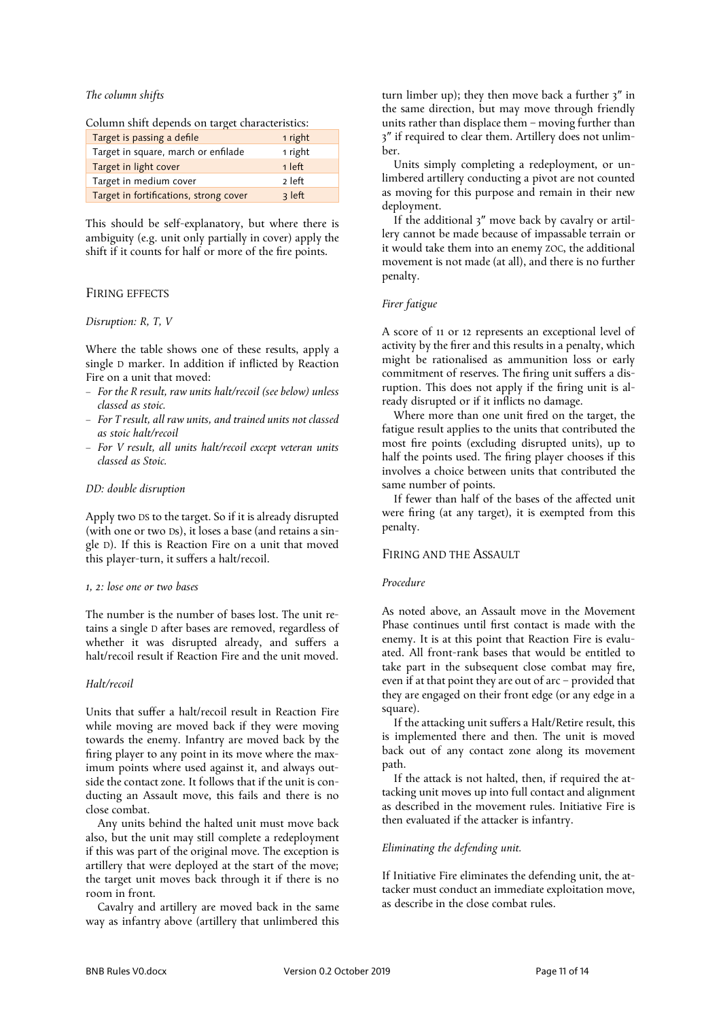# *The column shifts*

Column shift depends on target characteristics:

| Target is passing a defile             | 1 right  |
|----------------------------------------|----------|
| Target in square, march or enfilade    | 1 right  |
| Target in light cover                  | $1$ left |
| Target in medium cover                 | 2 left   |
| Target in fortifications, strong cover | 3 left   |

This should be self-explanatory, but where there is ambiguity (e.g. unit only partially in cover) apply the shift if it counts for half or more of the fire points.

# FIRING EFFECTS

#### *Disruption: R, T, V*

Where the table shows one of these results, apply a single D marker. In addition if inflicted by Reaction Fire on a unit that moved:

- *For the R result, raw units halt/recoil (see below) unless classed as stoic.*
- *For T result, all raw units, and trained units not classed as stoic halt/recoil*
- *For V result, all units halt/recoil except veteran units classed as Stoic.*

#### *DD: double disruption*

Apply two DS to the target. So if it is already disrupted (with one or two Ds), it loses a base (and retains a single D). If this is Reaction Fire on a unit that moved this player-turn, it suffers a halt/recoil.

#### *1, 2: lose one or two bases*

The number is the number of bases lost. The unit retains a single D after bases are removed, regardless of whether it was disrupted already, and suffers a halt/recoil result if Reaction Fire and the unit moved.

# *Halt/recoil*

Units that suffer a halt/recoil result in Reaction Fire while moving are moved back if they were moving towards the enemy. Infantry are moved back by the firing player to any point in its move where the maximum points where used against it, and always outside the contact zone. It follows that if the unit is conducting an Assault move, this fails and there is no close combat.

Any units behind the halted unit must move back also, but the unit may still complete a redeployment if this was part of the original move. The exception is artillery that were deployed at the start of the move; the target unit moves back through it if there is no room in front.

Cavalry and artillery are moved back in the same way as infantry above (artillery that unlimbered this

turn limber up); they then move back a further 3″ in the same direction, but may move through friendly units rather than displace them – moving further than 3″ if required to clear them. Artillery does not unlimber.

Units simply completing a redeployment, or unlimbered artillery conducting a pivot are not counted as moving for this purpose and remain in their new deployment.

If the additional 3″ move back by cavalry or artillery cannot be made because of impassable terrain or it would take them into an enemy ZOC, the additional movement is not made (at all), and there is no further penalty.

# *Firer fatigue*

A score of 11 or 12 represents an exceptional level of activity by the firer and this results in a penalty, which might be rationalised as ammunition loss or early commitment of reserves. The firing unit suffers a disruption. This does not apply if the firing unit is already disrupted or if it inflicts no damage.

Where more than one unit fired on the target, the fatigue result applies to the units that contributed the most fire points (excluding disrupted units), up to half the points used. The firing player chooses if this involves a choice between units that contributed the same number of points.

If fewer than half of the bases of the affected unit were firing (at any target), it is exempted from this penalty.

# FIRING AND THE ASSAULT

# *Procedure*

As noted above, an Assault move in the Movement Phase continues until first contact is made with the enemy. It is at this point that Reaction Fire is evaluated. All front-rank bases that would be entitled to take part in the subsequent close combat may fire, even if at that point they are out of arc – provided that they are engaged on their front edge (or any edge in a square).

If the attacking unit suffers a Halt/Retire result, this is implemented there and then. The unit is moved back out of any contact zone along its movement path.

If the attack is not halted, then, if required the attacking unit moves up into full contact and alignment as described in the movement rules. Initiative Fire is then evaluated if the attacker is infantry.

#### *Eliminating the defending unit.*

If Initiative Fire eliminates the defending unit, the attacker must conduct an immediate exploitation move, as describe in the close combat rules.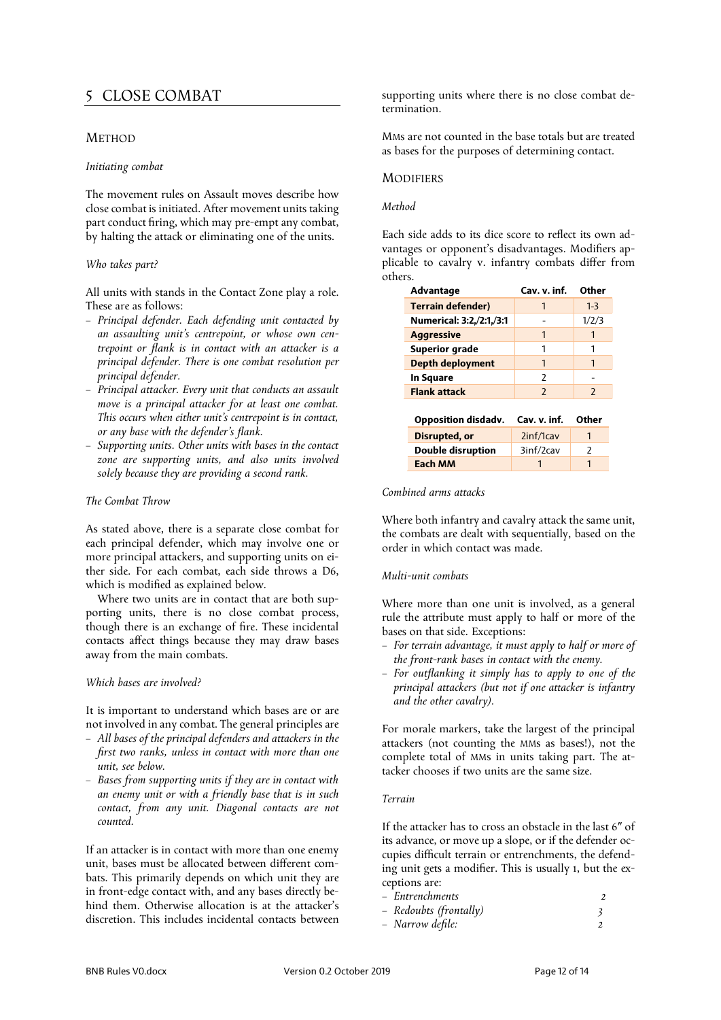# 5 CLOSE COMBAT

# METHOD

### *Initiating combat*

The movement rules on Assault moves describe how close combat is initiated. After movement units taking part conduct firing, which may pre-empt any combat, by halting the attack or eliminating one of the units.

# *Who takes part?*

All units with stands in the Contact Zone play a role. These are as follows:

- *Principal defender. Each defending unit contacted by an assaulting unit's centrepoint, or whose own centrepoint or flank is in contact with an attacker is a principal defender. There is one combat resolution per principal defender.*
- *Principal attacker. Every unit that conducts an assault move is a principal attacker for at least one combat. This occurs when either unit's centrepoint is in contact, or any base with the defender's flank.*
- *Supporting units. Other units with bases in the contact zone are supporting units, and also units involved solely because they are providing a second rank.*

# *The Combat Throw*

As stated above, there is a separate close combat for each principal defender, which may involve one or more principal attackers, and supporting units on either side. For each combat, each side throws a D6, which is modified as explained below.

Where two units are in contact that are both supporting units, there is no close combat process, though there is an exchange of fire. These incidental contacts affect things because they may draw bases away from the main combats.

#### *Which bases are involved?*

It is important to understand which bases are or are not involved in any combat. The general principles are

- *All bases of the principal defenders and attackers in the first two ranks, unless in contact with more than one unit, see below.*
- *Bases from supporting units if they are in contact with an enemy unit or with a friendly base that is in such contact, from any unit. Diagonal contacts are not counted.*

If an attacker is in contact with more than one enemy unit, bases must be allocated between different combats. This primarily depends on which unit they are in front-edge contact with, and any bases directly behind them. Otherwise allocation is at the attacker's discretion. This includes incidental contacts between

supporting units where there is no close combat determination.

MMs are not counted in the base totals but are treated as bases for the purposes of determining contact.

# **MODIFIERS**

# *Method*

Each side adds to its dice score to reflect its own advantages or opponent's disadvantages. Modifiers applicable to cavalry v. infantry combats differ from others.

| Advantage                | Cav. v. inf.             | Other                    |
|--------------------------|--------------------------|--------------------------|
| <b>Terrain defender)</b> | 1                        | $1 - 3$                  |
| Numerical: 3:2,/2:1,/3:1 |                          | 1/2/3                    |
| <b>Aggressive</b>        | 1                        |                          |
| <b>Superior grade</b>    |                          |                          |
| Depth deployment         | 1                        |                          |
| <b>In Square</b>         | 2                        |                          |
| <b>Flank attack</b>      | $\overline{\phantom{0}}$ | $\overline{\phantom{0}}$ |
|                          |                          |                          |
| Opposition disdady.      | Cav. v. inf.             | Other                    |
| Disrupted, or            | 2inf/1cav                | 1                        |
| <b>Double disruption</b> | 3inf/2cav                | 2                        |
| Each MM                  |                          |                          |

### *Combined arms attacks*

Where both infantry and cavalry attack the same unit, the combats are dealt with sequentially, based on the order in which contact was made.

# *Multi-unit combats*

Where more than one unit is involved, as a general rule the attribute must apply to half or more of the bases on that side. Exceptions:

- *For terrain advantage, it must apply to half or more of the front-rank bases in contact with the enemy.*
- *For outflanking it simply has to apply to one of the principal attackers (but not if one attacker is infantry and the other cavalry).*

For morale markers, take the largest of the principal attackers (not counting the MMs as bases!), not the complete total of MMs in units taking part. The attacker chooses if two units are the same size.

# *Terrain*

If the attacker has to cross an obstacle in the last 6″ of its advance, or move up a slope, or if the defender occupies difficult terrain or entrenchments, the defending unit gets a modifier. This is usually 1, but the exceptions are:

| – Entrenchments |  |
|-----------------|--|
|                 |  |

| - Redoubts (frontally) |  |
|------------------------|--|
|                        |  |

– *Narrow defile: 2*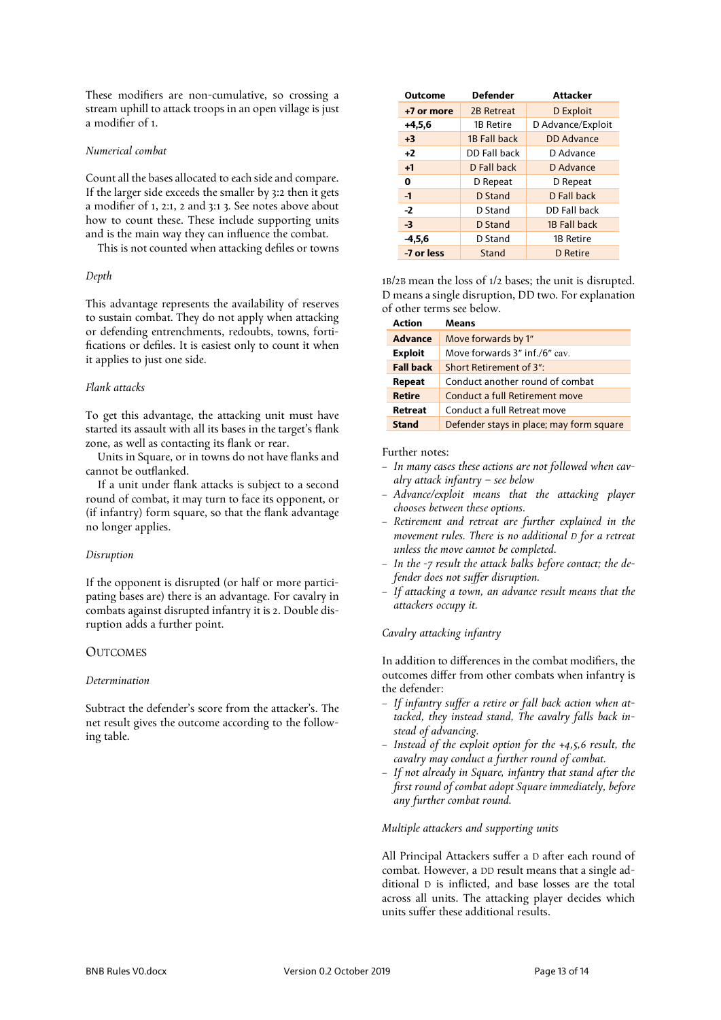These modifiers are non-cumulative, so crossing a stream uphill to attack troops in an open village is just a modifier of 1.

# *Numerical combat*

Count all the bases allocated to each side and compare. If the larger side exceeds the smaller by 3:2 then it gets a modifier of 1, 2:1, 2 and 3:1 3. See notes above about how to count these. These include supporting units and is the main way they can influence the combat.

This is not counted when attacking defiles or towns

# *Depth*

This advantage represents the availability of reserves to sustain combat. They do not apply when attacking or defending entrenchments, redoubts, towns, fortifications or defiles. It is easiest only to count it when it applies to just one side.

# *Flank attacks*

To get this advantage, the attacking unit must have started its assault with all its bases in the target's flank zone, as well as contacting its flank or rear.

Units in Square, or in towns do not have flanks and cannot be outflanked.

If a unit under flank attacks is subject to a second round of combat, it may turn to face its opponent, or (if infantry) form square, so that the flank advantage no longer applies.

# *Disruption*

If the opponent is disrupted (or half or more participating bases are) there is an advantage. For cavalry in combats against disrupted infantry it is 2. Double disruption adds a further point.

# **OUTCOMES**

# *Determination*

Subtract the defender's score from the attacker's. The net result gives the outcome according to the following table.

| Outcome    | <b>Defender</b> | Attacker          |
|------------|-----------------|-------------------|
| +7 or more | 2B Retreat      | D Exploit         |
| $+4,5,6$   | 1B Retire       | D Advance/Exploit |
| $+3$       | 1B Fall back    | <b>DD</b> Advance |
| $+2$       | DD Fall back    | D Advance         |
| $+1$       | D Fall back     | D Advance         |
| 0          | D Repeat        | D Repeat          |
| $-1$       | D Stand         | D Fall back       |
| $-2$       | D Stand         | DD Fall back      |
| $-3$       | D Stand         | 1B Fall back      |
| $-4,5,6$   | D Stand         | 1B Retire         |
| -7 or less | Stand           | D Retire          |

1B/2B mean the loss of 1/2 bases; the unit is disrupted. D means a single disruption, DD two. For explanation of other terms see below.

| <b>Action</b>    | Means                                    |
|------------------|------------------------------------------|
| <b>Advance</b>   | Move forwards by 1"                      |
| <b>Exploit</b>   | Move forwards 3" inf./6" cav.            |
| <b>Fall back</b> | Short Retirement of 3":                  |
| Repeat           | Conduct another round of combat          |
| <b>Retire</b>    | Conduct a full Retirement move           |
| Retreat          | Conduct a full Retreat move              |
| <b>Stand</b>     | Defender stays in place; may form square |

Further notes:

- *In many cases these actions are not followed when cavalry attack infantry – see below*
- *Advance/exploit means that the attacking player chooses between these options.*
- *Retirement and retreat are further explained in the movement rules. There is no additional D for a retreat unless the move cannot be completed.*
- *In the -7 result the attack balks before contact; the defender does not suffer disruption.*
- *If attacking a town, an advance result means that the attackers occupy it.*

# *Cavalry attacking infantry*

In addition to differences in the combat modifiers, the outcomes differ from other combats when infantry is the defender:

- *If infantry suffer a retire or fall back action when attacked, they instead stand, The cavalry falls back instead of advancing.*
- *Instead of the exploit option for the +4,5,6 result, the cavalry may conduct a further round of combat.*
- *If not already in Square, infantry that stand after the first round of combat adopt Square immediately, before any further combat round.*

# *Multiple attackers and supporting units*

All Principal Attackers suffer a D after each round of combat. However, a DD result means that a single additional D is inflicted, and base losses are the total across all units. The attacking player decides which units suffer these additional results.